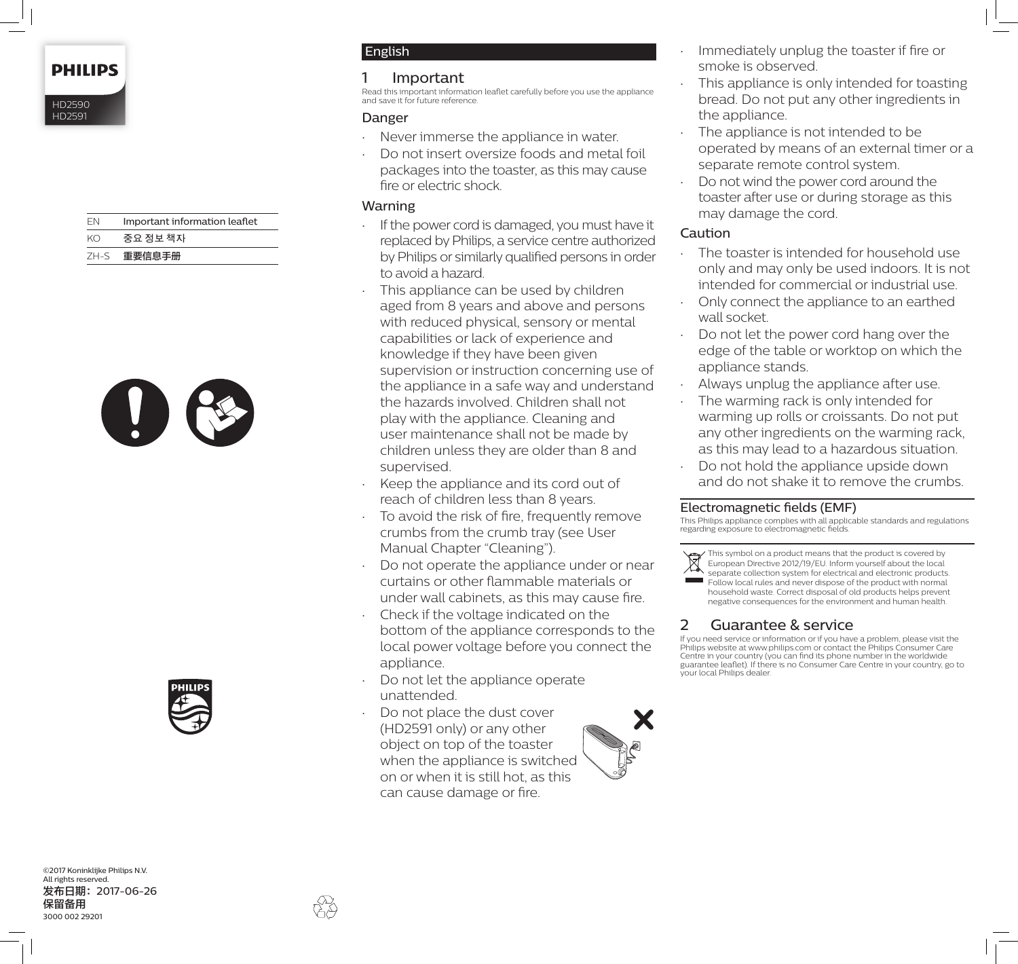**PHILIPS** 

HD2590 HD2591

| FN   | Important information leaflet |
|------|-------------------------------|
| KΩ   | 중요 정보 책자                      |
| ZH-S | 重要信息手册                        |





English

### 1 Important

Read this important information leaflet carefully before you use the appliance and save it for future reference.

### Danger

- Never immerse the appliance in water.
- Do not insert oversize foods and metal foil packages into the toaster, as this may cause fire or electric shock.

### Warning

- If the power cord is damaged, you must have it replaced by Philips, a service centre authorized by Philips or similarly qualified persons in order to avoid a hazard.
- This appliance can be used by children aged from 8 years and above and persons with reduced physical, sensory or mental capabilities or lack of experience and knowledge if they have been given supervision or instruction concerning use of the appliance in a safe way and understand the hazards involved. Children shall not play with the appliance. Cleaning and user maintenance shall not be made by children unless they are older than 8 and supervised.
- Keep the appliance and its cord out of reach of children less than 8 years.
- To avoid the risk of fire, frequently remove crumbs from the crumb tray (see User Manual Chapter "Cleaning").
- Do not operate the appliance under or near curtains or other flammable materials or under wall cabinets, as this may cause fire.
- Check if the voltage indicated on the bottom of the appliance corresponds to the local power voltage before you connect the appliance.
- Do not let the appliance operate unattended.
- Do not place the dust cover (HD2591 only) or any other object on top of the toaster when the appliance is switched on or when it is still hot, as this can cause damage or fire.



- Immediately unplug the toaster if fire or smoke is observed.
- This appliance is only intended for toasting bread. Do not put any other ingredients in the appliance.
- The appliance is not intended to be operated by means of an external timer or a separate remote control system.
- Do not wind the power cord around the toaster after use or during storage as this may damage the cord.

# **Caution**

- The toaster is intended for household use only and may only be used indoors. It is not intended for commercial or industrial use.
- Only connect the appliance to an earthed wall socket.
- Do not let the power cord hang over the edge of the table or worktop on which the appliance stands.
- Always unplug the appliance after use.
- The warming rack is only intended for warming up rolls or croissants. Do not put any other ingredients on the warming rack, as this may lead to a hazardous situation.
- Do not hold the appliance upside down and do not shake it to remove the crumbs.

### Electromagnetic fields (EMF)

This Philips appliance complies with all applicable standards and regulations regarding exposure to electromagnetic fields.

This symbol on a product means that the product is covered by European Directive 2012/19/EU. Inform yourself about the local separate collection system for electrical and electronic products. Follow local rules and never dispose of the product with normal household waste. Correct disposal of old products helps prevent

negative consequences for the environment and human health.

# 2 Guarantee & service

If you need service or information or if you have a problem, please visit the Philips website at www.philips.com or contact the Philips Consumer Care Centre in your country (you can find its phone number in the worldwide guarantee leaflet). If there is no Consumer Care Centre in your country, go to your local Philips dealer.

©2017 Koninklijke Philips N.V. All rights reserved. 发布日期:2017-06-26 保留备用 3000 002 29201